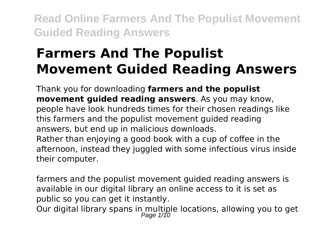# **Farmers And The Populist Movement Guided Reading Answers**

Thank you for downloading **farmers and the populist movement guided reading answers**. As you may know, people have look hundreds times for their chosen readings like this farmers and the populist movement guided reading answers, but end up in malicious downloads. Rather than enjoying a good book with a cup of coffee in the afternoon, instead they juggled with some infectious virus inside

their computer.

farmers and the populist movement guided reading answers is available in our digital library an online access to it is set as public so you can get it instantly.

Our digital library spans in multiple locations, allowing you to get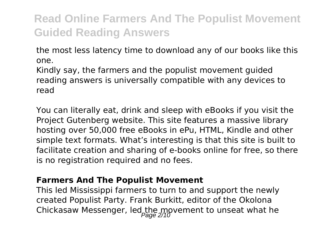the most less latency time to download any of our books like this one.

Kindly say, the farmers and the populist movement guided reading answers is universally compatible with any devices to read

You can literally eat, drink and sleep with eBooks if you visit the Project Gutenberg website. This site features a massive library hosting over 50,000 free eBooks in ePu, HTML, Kindle and other simple text formats. What's interesting is that this site is built to facilitate creation and sharing of e-books online for free, so there is no registration required and no fees.

#### **Farmers And The Populist Movement**

This led Mississippi farmers to turn to and support the newly created Populist Party. Frank Burkitt, editor of the Okolona Chickasaw Messenger, led the movement to unseat what he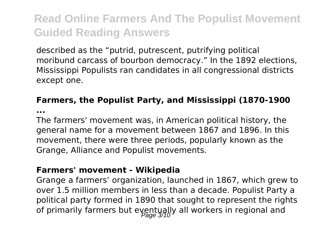described as the "putrid, putrescent, putrifying political moribund carcass of bourbon democracy." In the 1892 elections, Mississippi Populists ran candidates in all congressional districts except one.

### **Farmers, the Populist Party, and Mississippi (1870-1900**

**...**

The farmers' movement was, in American political history, the general name for a movement between 1867 and 1896. In this movement, there were three periods, popularly known as the Grange, Alliance and Populist movements.

#### **Farmers' movement - Wikipedia**

Grange a farmers' organization, launched in 1867, which grew to over 1.5 million members in less than a decade. Populist Party a political party formed in 1890 that sought to represent the rights of primarily farmers but eventually all workers in regional and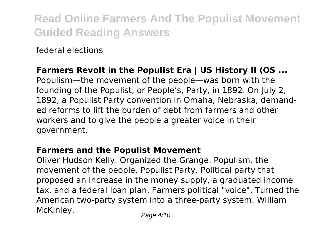federal elections

### **Farmers Revolt in the Populist Era | US History II (OS ...**

Populism—the movement of the people—was born with the founding of the Populist, or People's, Party, in 1892. On July 2, 1892, a Populist Party convention in Omaha, Nebraska, demanded reforms to lift the burden of debt from farmers and other workers and to give the people a greater voice in their government.

### **Farmers and the Populist Movement**

Oliver Hudson Kelly. Organized the Grange. Populism. the movement of the people. Populist Party. Political party that proposed an increase in the money supply, a graduated income tax, and a federal loan plan. Farmers political "voice". Turned the American two-party system into a three-party system. William McKinley. Page 4/10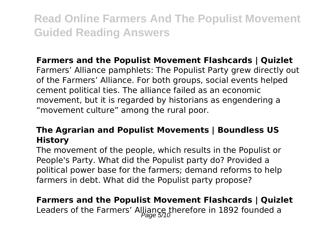### **Farmers and the Populist Movement Flashcards | Quizlet**

Farmers' Alliance pamphlets: The Populist Party grew directly out of the Farmers' Alliance. For both groups, social events helped cement political ties. The alliance failed as an economic movement, but it is regarded by historians as engendering a "movement culture" among the rural poor.

### **The Agrarian and Populist Movements | Boundless US History**

The movement of the people, which results in the Populist or People's Party. What did the Populist party do? Provided a political power base for the farmers; demand reforms to help farmers in debt. What did the Populist party propose?

# **Farmers and the Populist Movement Flashcards | Quizlet**

Leaders of the Farmers' Alliance therefore in 1892 founded a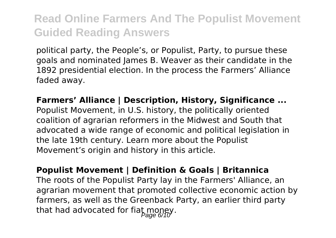political party, the People's, or Populist, Party, to pursue these goals and nominated James B. Weaver as their candidate in the 1892 presidential election. In the process the Farmers' Alliance faded away.

**Farmers' Alliance | Description, History, Significance ...** Populist Movement, in U.S. history, the politically oriented coalition of agrarian reformers in the Midwest and South that advocated a wide range of economic and political legislation in the late 19th century. Learn more about the Populist Movement's origin and history in this article.

**Populist Movement | Definition & Goals | Britannica** The roots of the Populist Party lay in the Farmers' Alliance, an agrarian movement that promoted collective economic action by farmers, as well as the Greenback Party, an earlier third party that had advocated for fiat money.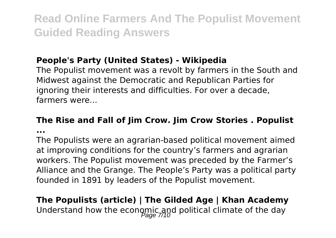### **People's Party (United States) - Wikipedia**

The Populist movement was a revolt by farmers in the South and Midwest against the Democratic and Republican Parties for ignoring their interests and difficulties. For over a decade, farmers were...

# **The Rise and Fall of Jim Crow. Jim Crow Stories . Populist**

**...**

The Populists were an agrarian-based political movement aimed at improving conditions for the country's farmers and agrarian workers. The Populist movement was preceded by the Farmer's Alliance and the Grange. The People's Party was a political party founded in 1891 by leaders of the Populist movement.

## **The Populists (article) | The Gilded Age | Khan Academy** Understand how the economic and political climate of the day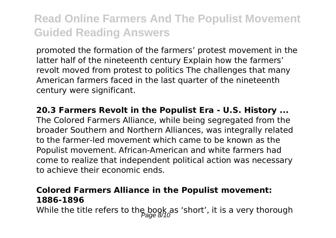promoted the formation of the farmers' protest movement in the latter half of the nineteenth century Explain how the farmers' revolt moved from protest to politics The challenges that many American farmers faced in the last quarter of the nineteenth century were significant.

**20.3 Farmers Revolt in the Populist Era - U.S. History ...** The Colored Farmers Alliance, while being segregated from the broader Southern and Northern Alliances, was integrally related to the farmer-led movement which came to be known as the Populist movement. African-American and white farmers had come to realize that independent political action was necessary to achieve their economic ends.

### **Colored Farmers Alliance in the Populist movement: 1886-1896**

While the title refers to the book as 'short', it is a very thorough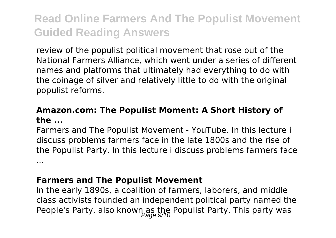review of the populist political movement that rose out of the National Farmers Alliance, which went under a series of different names and platforms that ultimately had everything to do with the coinage of silver and relatively little to do with the original populist reforms.

#### **Amazon.com: The Populist Moment: A Short History of the ...**

Farmers and The Populist Movement - YouTube. In this lecture i discuss problems farmers face in the late 1800s and the rise of the Populist Party. In this lecture i discuss problems farmers face ...

#### **Farmers and The Populist Movement**

In the early 1890s, a coalition of farmers, laborers, and middle class activists founded an independent political party named the People's Party, also known as the Populist Party. This party was